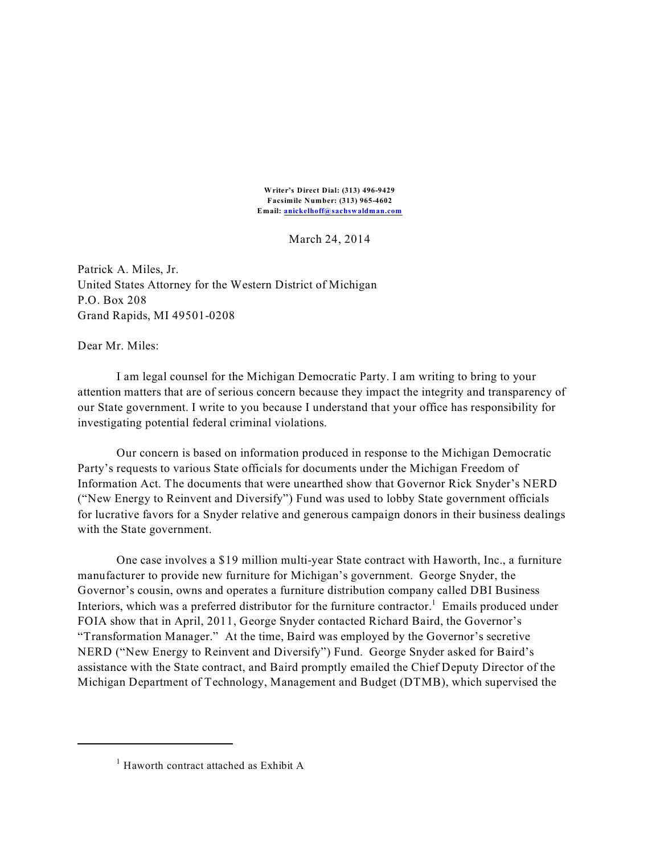**Writer's Direct Dial: (313) 496-9429 Facsimile Number: (313) 965-4602 Email: [anickelhoff@sachswaldman.com](mailto:anickelhoff@sachswaldman.com)**

March 24, 2014

Patrick A. Miles, Jr. United States Attorney for the Western District of Michigan P.O. Box 208 Grand Rapids, MI 49501-0208

Dear Mr. Miles:

I am legal counsel for the Michigan Democratic Party. I am writing to bring to your attention matters that are of serious concern because they impact the integrity and transparency of our State government. I write to you because I understand that your office has responsibility for investigating potential federal criminal violations.

Our concern is based on information produced in response to the Michigan Democratic Party's requests to various State officials for documents under the Michigan Freedom of Information Act. The documents that were unearthed show that Governor Rick Snyder's NERD ("New Energy to Reinvent and Diversify") Fund was used to lobby State government officials for lucrative favors for a Snyder relative and generous campaign donors in their business dealings with the State government.

One case involves a \$19 million multi-year State contract with Haworth, Inc., a furniture manufacturer to provide new furniture for Michigan's government. George Snyder, the Governor's cousin, owns and operates a furniture distribution company called DBI Business Interiors, which was a preferred distributor for the furniture contractor.<sup>1</sup> Emails produced under FOIA show that in April, 2011, George Snyder contacted Richard Baird, the Governor's "Transformation Manager." At the time, Baird was employed by the Governor's secretive NERD ("New Energy to Reinvent and Diversify") Fund. George Snyder asked for Baird's assistance with the State contract, and Baird promptly emailed the Chief Deputy Director of the Michigan Department of Technology, Management and Budget (DTMB), which supervised the

 $<sup>1</sup>$  Haworth contract attached as Exhibit A</sup>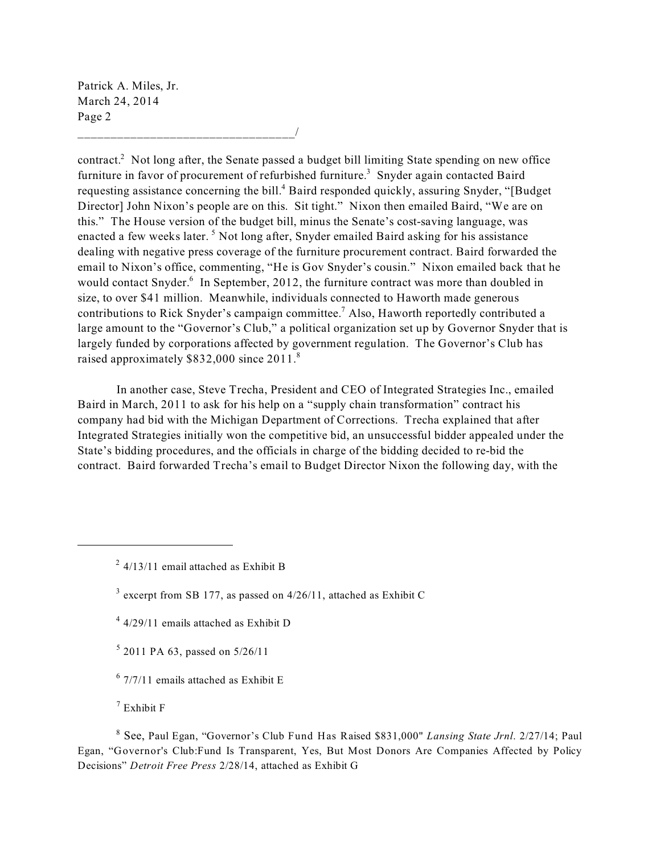Patrick A. Miles, Jr. March 24, 2014 Page 2

\_\_\_\_\_\_\_\_\_\_\_\_\_\_\_\_\_\_\_\_\_\_\_\_\_\_\_\_\_\_\_\_\_/

contract.<sup>2</sup> Not long after, the Senate passed a budget bill limiting State spending on new office furniture in favor of procurement of refurbished furniture.<sup>3</sup> Snyder again contacted Baird requesting assistance concerning the bill.<sup>4</sup> Baird responded quickly, assuring Snyder, "[Budget Director] John Nixon's people are on this. Sit tight." Nixon then emailed Baird, "We are on this." The House version of the budget bill, minus the Senate's cost-saving language, was enacted a few weeks later.<sup>5</sup> Not long after, Snyder emailed Baird asking for his assistance dealing with negative press coverage of the furniture procurement contract. Baird forwarded the email to Nixon's office, commenting, "He is Gov Snyder's cousin." Nixon emailed back that he would contact Snyder.<sup>6</sup> In September, 2012, the furniture contract was more than doubled in size, to over \$41 million. Meanwhile, individuals connected to Haworth made generous contributions to Rick Snyder's campaign committee.<sup>7</sup> Also, Haworth reportedly contributed a large amount to the "Governor's Club," a political organization set up by Governor Snyder that is largely funded by corporations affected by government regulation. The Governor's Club has raised approximately \$832,000 since 2011.<sup>8</sup>

In another case, Steve Trecha, President and CEO of Integrated Strategies Inc., emailed Baird in March, 2011 to ask for his help on a "supply chain transformation" contract his company had bid with the Michigan Department of Corrections. Trecha explained that after Integrated Strategies initially won the competitive bid, an unsuccessful bidder appealed under the State's bidding procedures, and the officials in charge of the bidding decided to re-bid the contract. Baird forwarded Trecha's email to Budget Director Nixon the following day, with the

- $4/29/11$  emails attached as Exhibit D
- $5$  2011 PA 63, passed on 5/26/11
- $6$  7/7/11 emails attached as Exhibit E

 $7$  Exhibit F

See, Paul Egan, "Governor's Club Fund Has Raised \$831,000" *Lansing State Jrnl*. 2/27/14; Paul 8 Egan, "Governor's Club:Fund Is Transparent, Yes, But Most Donors Are Companies Affected by Policy Decisions" *Detroit Free Press* 2/28/14, attached as Exhibit G

 $^{2}$  4/13/11 email attached as Exhibit B

 $3$  excerpt from SB 177, as passed on 4/26/11, attached as Exhibit C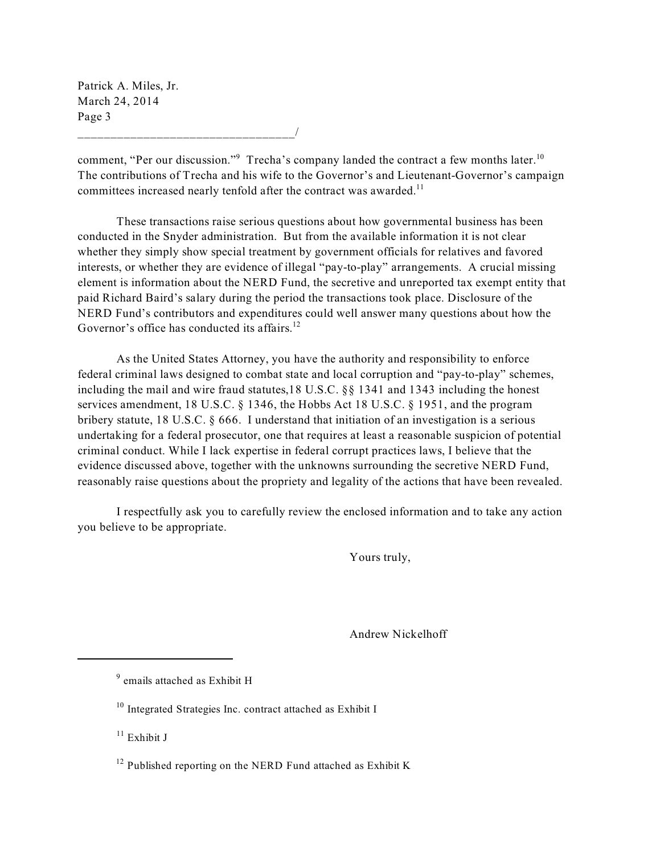Patrick A. Miles, Jr. March 24, 2014 Page 3

\_\_\_\_\_\_\_\_\_\_\_\_\_\_\_\_\_\_\_\_\_\_\_\_\_\_\_\_\_\_\_\_\_/

comment, "Per our discussion." Trecha's company landed the contract a few months later.<sup>10</sup> The contributions of Trecha and his wife to the Governor's and Lieutenant-Governor's campaign committees increased nearly tenfold after the contract was awarded.<sup>11</sup>

These transactions raise serious questions about how governmental business has been conducted in the Snyder administration. But from the available information it is not clear whether they simply show special treatment by government officials for relatives and favored interests, or whether they are evidence of illegal "pay-to-play" arrangements. A crucial missing element is information about the NERD Fund, the secretive and unreported tax exempt entity that paid Richard Baird's salary during the period the transactions took place. Disclosure of the NERD Fund's contributors and expenditures could well answer many questions about how the Governor's office has conducted its affairs.<sup>12</sup>

As the United States Attorney, you have the authority and responsibility to enforce federal criminal laws designed to combat state and local corruption and "pay-to-play" schemes, including the mail and wire fraud statutes,18 U.S.C. §§ 1341 and 1343 including the honest services amendment, 18 U.S.C. § 1346, the Hobbs Act 18 U.S.C. § 1951, and the program bribery statute, 18 U.S.C.  $\S$  666. I understand that initiation of an investigation is a serious undertaking for a federal prosecutor, one that requires at least a reasonable suspicion of potential criminal conduct. While I lack expertise in federal corrupt practices laws, I believe that the evidence discussed above, together with the unknowns surrounding the secretive NERD Fund, reasonably raise questions about the propriety and legality of the actions that have been revealed.

I respectfully ask you to carefully review the enclosed information and to take any action you believe to be appropriate.

Yours truly,

Andrew Nickelhoff

 $9$  emails attached as Exhibit H

 $10$  Integrated Strategies Inc. contract attached as Exhibit I

 $11$  Exhibit J

 $12$  Published reporting on the NERD Fund attached as Exhibit K